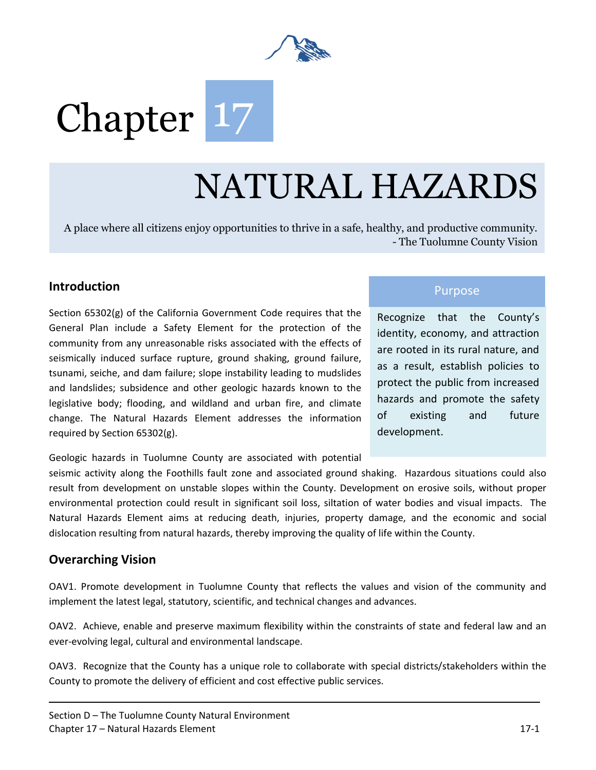

# Chapter 17

## NATURAL HAZARDS

A place where all citizens enjoy opportunities to thrive in a safe, healthy, and productive community. - The Tuolumne County Vision

## **Introduction**<br>Purpose **Introduction**

Section 65302(g) of the California Government Code requires that the General Plan include a Safety Element for the protection of the community from any unreasonable risks associated with the effects of seismically induced surface rupture, ground shaking, ground failure, tsunami, seiche, and dam failure; slope instability leading to mudslides and landslides; subsidence and other geologic hazards known to the legislative body; flooding, and wildland and urban fire, and climate change. The Natural Hazards Element addresses the information required by Section 65302(g).

Recognize that the County's identity, economy, and attraction are rooted in its rural nature, and as a result, establish policies to protect the public from increased hazards and promote the safety of existing and future development.

Geologic hazards in Tuolumne County are associated with potential

seismic activity along the Foothills fault zone and associated ground shaking. Hazardous situations could also result from development on unstable slopes within the County. Development on erosive soils, without proper environmental protection could result in significant soil loss, siltation of water bodies and visual impacts. The Natural Hazards Element aims at reducing death, injuries, property damage, and the economic and social dislocation resulting from natural hazards, thereby improving the quality of life within the County.

### **Overarching Vision**

OAV1. Promote development in Tuolumne County that reflects the values and vision of the community and implement the latest legal, statutory, scientific, and technical changes and advances.

OAV2. Achieve, enable and preserve maximum flexibility within the constraints of state and federal law and an ever-evolving legal, cultural and environmental landscape.

OAV3. Recognize that the County has a unique role to collaborate with special districts/stakeholders within the County to promote the delivery of efficient and cost effective public services.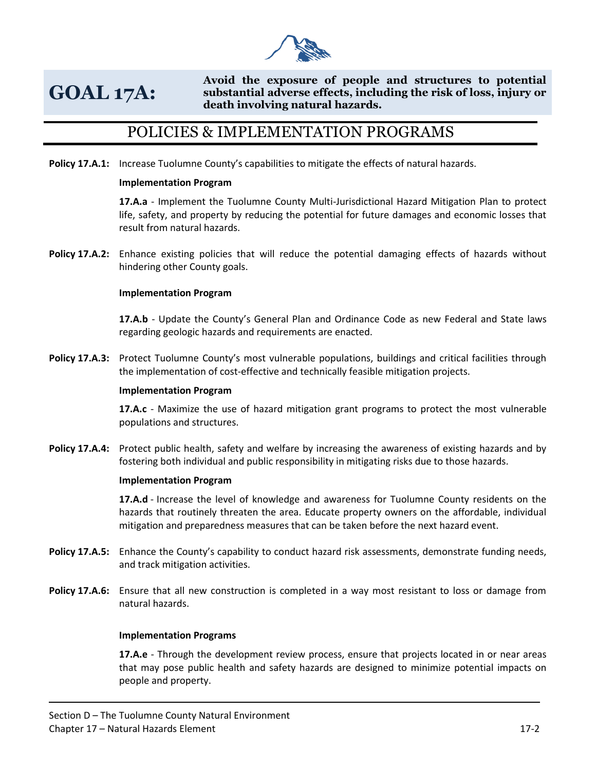

## **GOAL 17A:**

**Avoid the exposure of people and structures to potential substantial adverse effects, including the risk of loss, injury or death involving natural hazards.** 

## POLICIES & IMPLEMENTATION PROGRAMS

**Policy 17.A.1:** Increase Tuolumne County's capabilities to mitigate the effects of natural hazards.

#### **Implementation Program**

**17.A.a** - Implement the Tuolumne County Multi-Jurisdictional Hazard Mitigation Plan to protect life, safety, and property by reducing the potential for future damages and economic losses that result from natural hazards.

**Policy 17.A.2:** Enhance existing policies that will reduce the potential damaging effects of hazards without hindering other County goals.

#### **Implementation Program**

**17.A.b** - Update the County's General Plan and Ordinance Code as new Federal and State laws regarding geologic hazards and requirements are enacted.

**Policy 17.A.3:** Protect Tuolumne County's most vulnerable populations, buildings and critical facilities through the implementation of cost-effective and technically feasible mitigation projects.

#### **Implementation Program**

**17.A.c** - Maximize the use of hazard mitigation grant programs to protect the most vulnerable populations and structures.

**Policy 17.A.4:** Protect public health, safety and welfare by increasing the awareness of existing hazards and by fostering both individual and public responsibility in mitigating risks due to those hazards.

#### **Implementation Program**

**17.A.d** - Increase the level of knowledge and awareness for Tuolumne County residents on the hazards that routinely threaten the area. Educate property owners on the affordable, individual mitigation and preparedness measures that can be taken before the next hazard event.

- **Policy 17.A.5:** Enhance the County's capability to conduct hazard risk assessments, demonstrate funding needs, and track mitigation activities.
- **Policy 17.A.6:** Ensure that all new construction is completed in a way most resistant to loss or damage from natural hazards.

#### **Implementation Programs**

**17.A.e** - Through the development review process, ensure that projects located in or near areas that may pose public health and safety hazards are designed to minimize potential impacts on people and property.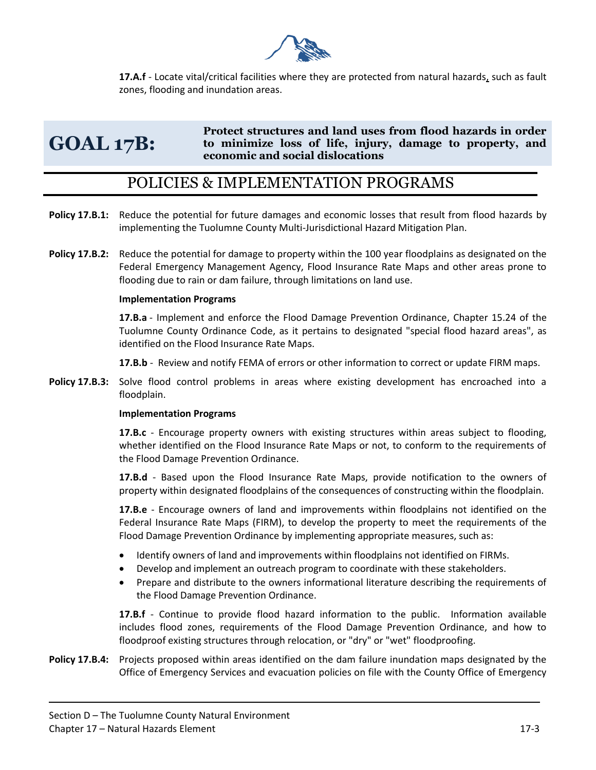

**17.A.f** - Locate vital/critical facilities where they are protected from natural hazards, such as fault zones, flooding and inundation areas.

#### **GOAL 17B: Protect structures and land uses from flood hazards in order to minimize loss of life, injury, damage to property, and economic and social dislocations**

### POLICIES & IMPLEMENTATION PROGRAMS

- **Policy 17.B.1:** Reduce the potential for future damages and economic losses that result from flood hazards by implementing the Tuolumne County Multi-Jurisdictional Hazard Mitigation Plan.
- **Policy 17.B.2:** Reduce the potential for damage to property within the 100 year floodplains as designated on the Federal Emergency Management Agency, Flood Insurance Rate Maps and other areas prone to flooding due to rain or dam failure, through limitations on land use.

#### **Implementation Programs**

**17.B.a** - Implement and enforce the Flood Damage Prevention Ordinance, Chapter 15.24 of the Tuolumne County Ordinance Code, as it pertains to designated "special flood hazard areas", as identified on the Flood Insurance Rate Maps.

**17.B.b** - Review and notify FEMA of errors or other information to correct or update FIRM maps.

**Policy 17.B.3:** Solve flood control problems in areas where existing development has encroached into a floodplain.

#### **Implementation Programs**

**17.B.c** - Encourage property owners with existing structures within areas subject to flooding, whether identified on the Flood Insurance Rate Maps or not, to conform to the requirements of the Flood Damage Prevention Ordinance.

**17.B.d** - Based upon the Flood Insurance Rate Maps, provide notification to the owners of property within designated floodplains of the consequences of constructing within the floodplain.

**17.B.e** - Encourage owners of land and improvements within floodplains not identified on the Federal Insurance Rate Maps (FIRM), to develop the property to meet the requirements of the Flood Damage Prevention Ordinance by implementing appropriate measures, such as:

- Identify owners of land and improvements within floodplains not identified on FIRMs.
- Develop and implement an outreach program to coordinate with these stakeholders.
- Prepare and distribute to the owners informational literature describing the requirements of the Flood Damage Prevention Ordinance.

**17.B.f** - Continue to provide flood hazard information to the public. Information available includes flood zones, requirements of the Flood Damage Prevention Ordinance, and how to floodproof existing structures through relocation, or "dry" or "wet" floodproofing.

**Policy 17.B.4:** Projects proposed within areas identified on the dam failure inundation maps designated by the Office of Emergency Services and evacuation policies on file with the County Office of Emergency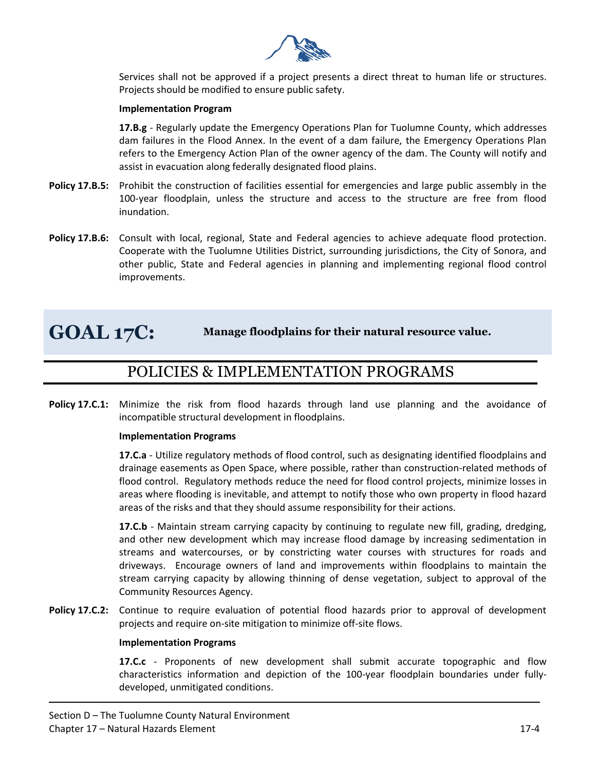

Services shall not be approved if a project presents a direct threat to human life or structures. Projects should be modified to ensure public safety.

#### **Implementation Program**

**17.B.g** - Regularly update the Emergency Operations Plan for Tuolumne County, which addresses dam failures in the Flood Annex. In the event of a dam failure, the Emergency Operations Plan refers to the Emergency Action Plan of the owner agency of the dam. The County will notify and assist in evacuation along federally designated flood plains.

- **Policy 17.B.5:** Prohibit the construction of facilities essential for emergencies and large public assembly in the 100-year floodplain, unless the structure and access to the structure are free from flood inundation.
- **Policy 17.B.6:** Consult with local, regional, State and Federal agencies to achieve adequate flood protection. Cooperate with the Tuolumne Utilities District, surrounding jurisdictions, the City of Sonora, and other public, State and Federal agencies in planning and implementing regional flood control improvements.

## **GOAL 17C: Manage floodplains for their natural resource value.**

## POLICIES & IMPLEMENTATION PROGRAMS

**Policy 17.C.1:** Minimize the risk from flood hazards through land use planning and the avoidance of incompatible structural development in floodplains.

#### **Implementation Programs**

**17.C.a** - Utilize regulatory methods of flood control, such as designating identified floodplains and drainage easements as Open Space, where possible, rather than construction-related methods of flood control. Regulatory methods reduce the need for flood control projects, minimize losses in areas where flooding is inevitable, and attempt to notify those who own property in flood hazard areas of the risks and that they should assume responsibility for their actions.

**17.C.b** - Maintain stream carrying capacity by continuing to regulate new fill, grading, dredging, and other new development which may increase flood damage by increasing sedimentation in streams and watercourses, or by constricting water courses with structures for roads and driveways. Encourage owners of land and improvements within floodplains to maintain the stream carrying capacity by allowing thinning of dense vegetation, subject to approval of the Community Resources Agency.

**Policy 17.C.2:** Continue to require evaluation of potential flood hazards prior to approval of development projects and require on-site mitigation to minimize off-site flows.

#### **Implementation Programs**

**17.C.c** - Proponents of new development shall submit accurate topographic and flow characteristics information and depiction of the 100-year floodplain boundaries under fullydeveloped, unmitigated conditions.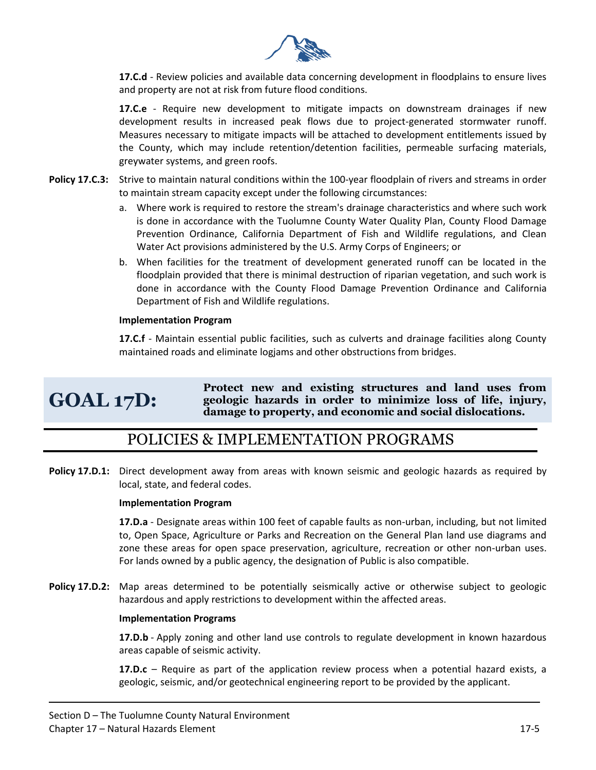

**17.C.d** - Review policies and available data concerning development in floodplains to ensure lives and property are not at risk from future flood conditions.

**17.C.e** - Require new development to mitigate impacts on downstream drainages if new development results in increased peak flows due to project-generated stormwater runoff. Measures necessary to mitigate impacts will be attached to development entitlements issued by the County, which may include retention/detention facilities, permeable surfacing materials, greywater systems, and green roofs.

- **Policy 17.C.3:** Strive to maintain natural conditions within the 100-year floodplain of rivers and streams in order to maintain stream capacity except under the following circumstances:
	- a. Where work is required to restore the stream's drainage characteristics and where such work is done in accordance with the Tuolumne County Water Quality Plan, County Flood Damage Prevention Ordinance, California Department of Fish and Wildlife regulations, and Clean Water Act provisions administered by the U.S. Army Corps of Engineers; or
	- b. When facilities for the treatment of development generated runoff can be located in the floodplain provided that there is minimal destruction of riparian vegetation, and such work is done in accordance with the County Flood Damage Prevention Ordinance and California Department of Fish and Wildlife regulations.

#### **Implementation Program**

**17.C.f** - Maintain essential public facilities, such as culverts and drainage facilities along County maintained roads and eliminate logjams and other obstructions from bridges.

## **GOAL 17D:**

**Protect new and existing structures and land uses from geologic hazards in order to minimize loss of life, injury, damage to property, and economic and social dislocations.** 

## POLICIES & IMPLEMENTATION PROGRAMS

**Policy 17.D.1:** Direct development away from areas with known seismic and geologic hazards as required by local, state, and federal codes.

#### **Implementation Program**

**17.D.a** - Designate areas within 100 feet of capable faults as non-urban, including, but not limited to, Open Space, Agriculture or Parks and Recreation on the General Plan land use diagrams and zone these areas for open space preservation, agriculture, recreation or other non-urban uses. For lands owned by a public agency, the designation of Public is also compatible.

**Policy 17.D.2:** Map areas determined to be potentially seismically active or otherwise subject to geologic hazardous and apply restrictions to development within the affected areas.

#### **Implementation Programs**

**17.D.b** - Apply zoning and other land use controls to regulate development in known hazardous areas capable of seismic activity.

**17.D.c** – Require as part of the application review process when a potential hazard exists, a geologic, seismic, and/or geotechnical engineering report to be provided by the applicant.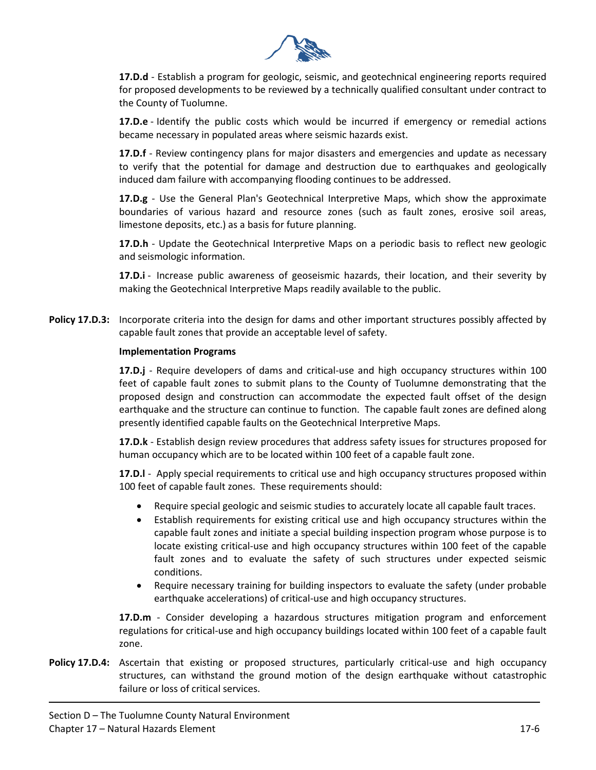

**17.D.d** - Establish a program for geologic, seismic, and geotechnical engineering reports required for proposed developments to be reviewed by a technically qualified consultant under contract to the County of Tuolumne.

**17.D.e** - Identify the public costs which would be incurred if emergency or remedial actions became necessary in populated areas where seismic hazards exist.

**17.D.f** - Review contingency plans for major disasters and emergencies and update as necessary to verify that the potential for damage and destruction due to earthquakes and geologically induced dam failure with accompanying flooding continues to be addressed.

**17.D.g** - Use the General Plan's Geotechnical Interpretive Maps, which show the approximate boundaries of various hazard and resource zones (such as fault zones, erosive soil areas, limestone deposits, etc.) as a basis for future planning.

**17.D.h** - Update the Geotechnical Interpretive Maps on a periodic basis to reflect new geologic and seismologic information.

**17.D.i** - Increase public awareness of geoseismic hazards, their location, and their severity by making the Geotechnical Interpretive Maps readily available to the public.

**Policy 17.D.3:** Incorporate criteria into the design for dams and other important structures possibly affected by capable fault zones that provide an acceptable level of safety.

#### **Implementation Programs**

**17.D.j** - Require developers of dams and critical-use and high occupancy structures within 100 feet of capable fault zones to submit plans to the County of Tuolumne demonstrating that the proposed design and construction can accommodate the expected fault offset of the design earthquake and the structure can continue to function. The capable fault zones are defined along presently identified capable faults on the Geotechnical Interpretive Maps.

**17.D.k** - Establish design review procedures that address safety issues for structures proposed for human occupancy which are to be located within 100 feet of a capable fault zone.

**17.D.l** - Apply special requirements to critical use and high occupancy structures proposed within 100 feet of capable fault zones. These requirements should:

- Require special geologic and seismic studies to accurately locate all capable fault traces.
- Establish requirements for existing critical use and high occupancy structures within the capable fault zones and initiate a special building inspection program whose purpose is to locate existing critical-use and high occupancy structures within 100 feet of the capable fault zones and to evaluate the safety of such structures under expected seismic conditions.
- Require necessary training for building inspectors to evaluate the safety (under probable earthquake accelerations) of critical-use and high occupancy structures.

**17.D.m** - Consider developing a hazardous structures mitigation program and enforcement regulations for critical-use and high occupancy buildings located within 100 feet of a capable fault zone.

**Policy 17.D.4:** Ascertain that existing or proposed structures, particularly critical-use and high occupancy structures, can withstand the ground motion of the design earthquake without catastrophic failure or loss of critical services.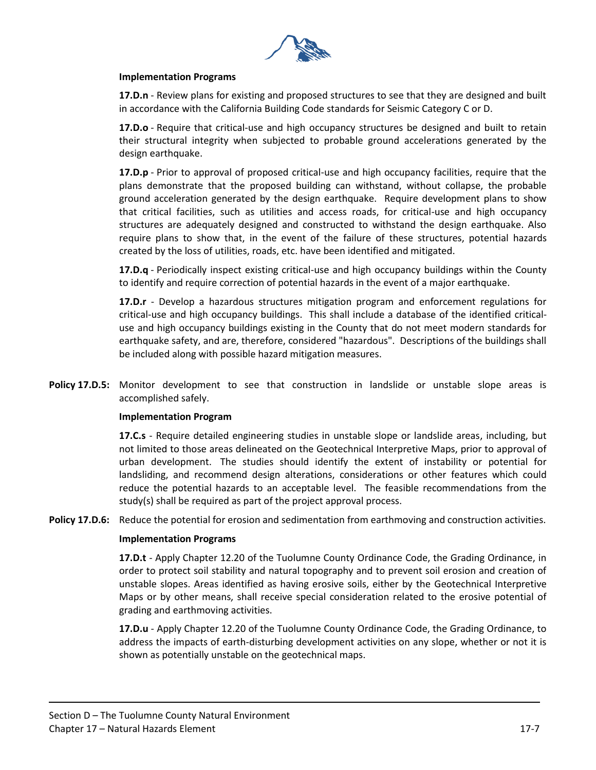

#### **Implementation Programs**

**17.D.n** - Review plans for existing and proposed structures to see that they are designed and built in accordance with the California Building Code standards for Seismic Category C or D.

**17.D.o** - Require that critical-use and high occupancy structures be designed and built to retain their structural integrity when subjected to probable ground accelerations generated by the design earthquake.

**17.D.p** - Prior to approval of proposed critical-use and high occupancy facilities, require that the plans demonstrate that the proposed building can withstand, without collapse, the probable ground acceleration generated by the design earthquake. Require development plans to show that critical facilities, such as utilities and access roads, for critical-use and high occupancy structures are adequately designed and constructed to withstand the design earthquake. Also require plans to show that, in the event of the failure of these structures, potential hazards created by the loss of utilities, roads, etc. have been identified and mitigated.

**17.D.q** - Periodically inspect existing critical-use and high occupancy buildings within the County to identify and require correction of potential hazards in the event of a major earthquake.

**17.D.r** - Develop a hazardous structures mitigation program and enforcement regulations for critical-use and high occupancy buildings. This shall include a database of the identified criticaluse and high occupancy buildings existing in the County that do not meet modern standards for earthquake safety, and are, therefore, considered "hazardous". Descriptions of the buildings shall be included along with possible hazard mitigation measures.

**Policy 17.D.5:** Monitor development to see that construction in landslide or unstable slope areas is accomplished safely.

#### **Implementation Program**

**17.C.s** - Require detailed engineering studies in unstable slope or landslide areas, including, but not limited to those areas delineated on the Geotechnical Interpretive Maps, prior to approval of urban development. The studies should identify the extent of instability or potential for landsliding, and recommend design alterations, considerations or other features which could reduce the potential hazards to an acceptable level. The feasible recommendations from the study(s) shall be required as part of the project approval process.

**Policy 17.D.6:** Reduce the potential for erosion and sedimentation from earthmoving and construction activities.

#### **Implementation Programs**

**17.D.t** - Apply Chapter 12.20 of the Tuolumne County Ordinance Code, the Grading Ordinance, in order to protect soil stability and natural topography and to prevent soil erosion and creation of unstable slopes. Areas identified as having erosive soils, either by the Geotechnical Interpretive Maps or by other means, shall receive special consideration related to the erosive potential of grading and earthmoving activities.

**17.D.u** - Apply Chapter 12.20 of the Tuolumne County Ordinance Code, the Grading Ordinance, to address the impacts of earth-disturbing development activities on any slope, whether or not it is shown as potentially unstable on the geotechnical maps.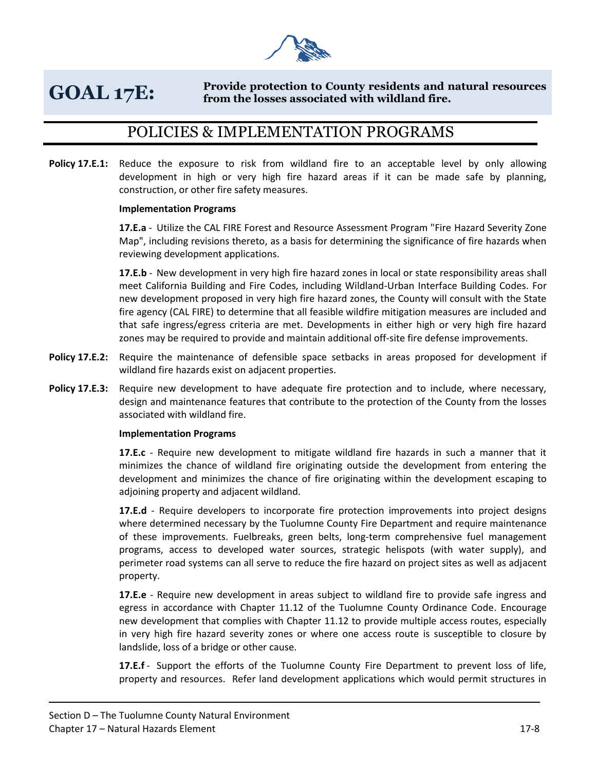

#### **GOAL 17E: Provide protection to County residents and natural resources from the losses associated with wildland fire.**

## POLICIES & IMPLEMENTATION PROGRAMS

**Policy 17.E.1:** Reduce the exposure to risk from wildland fire to an acceptable level by only allowing development in high or very high fire hazard areas if it can be made safe by planning, construction, or other fire safety measures.

#### **Implementation Programs**

**17.E.a** - Utilize the CAL FIRE Forest and Resource Assessment Program "Fire Hazard Severity Zone Map", including revisions thereto, as a basis for determining the significance of fire hazards when reviewing development applications.

**17.E.b** - New development in very high fire hazard zones in local or state responsibility areas shall meet California Building and Fire Codes, including Wildland-Urban Interface Building Codes. For new development proposed in very high fire hazard zones, the County will consult with the State fire agency (CAL FIRE) to determine that all feasible wildfire mitigation measures are included and that safe ingress/egress criteria are met. Developments in either high or very high fire hazard zones may be required to provide and maintain additional off-site fire defense improvements.

- **Policy 17.E.2:** Require the maintenance of defensible space setbacks in areas proposed for development if wildland fire hazards exist on adjacent properties.
- **Policy 17.E.3:** Require new development to have adequate fire protection and to include, where necessary, design and maintenance features that contribute to the protection of the County from the losses associated with wildland fire.

#### **Implementation Programs**

**17.E.c** - Require new development to mitigate wildland fire hazards in such a manner that it minimizes the chance of wildland fire originating outside the development from entering the development and minimizes the chance of fire originating within the development escaping to adjoining property and adjacent wildland.

**17.E.d** - Require developers to incorporate fire protection improvements into project designs where determined necessary by the Tuolumne County Fire Department and require maintenance of these improvements. Fuelbreaks, green belts, long-term comprehensive fuel management programs, access to developed water sources, strategic helispots (with water supply), and perimeter road systems can all serve to reduce the fire hazard on project sites as well as adjacent property.

**17.E.e** - Require new development in areas subject to wildland fire to provide safe ingress and egress in accordance with Chapter 11.12 of the Tuolumne County Ordinance Code. Encourage new development that complies with Chapter 11.12 to provide multiple access routes, especially in very high fire hazard severity zones or where one access route is susceptible to closure by landslide, loss of a bridge or other cause.

**17.E.f** - Support the efforts of the Tuolumne County Fire Department to prevent loss of life, property and resources. Refer land development applications which would permit structures in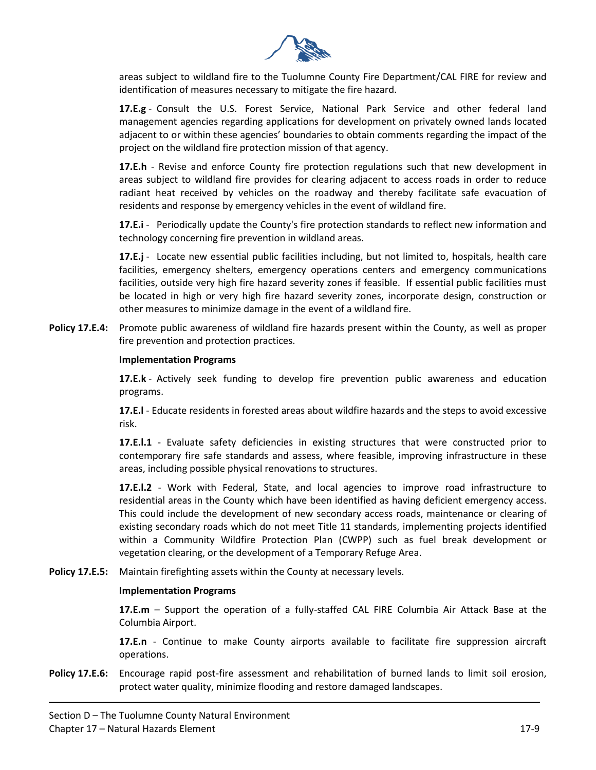

areas subject to wildland fire to the Tuolumne County Fire Department/CAL FIRE for review and identification of measures necessary to mitigate the fire hazard.

**17.E.g** - Consult the U.S. Forest Service, National Park Service and other federal land management agencies regarding applications for development on privately owned lands located adjacent to or within these agencies' boundaries to obtain comments regarding the impact of the project on the wildland fire protection mission of that agency.

**17.E.h** - Revise and enforce County fire protection regulations such that new development in areas subject to wildland fire provides for clearing adjacent to access roads in order to reduce radiant heat received by vehicles on the roadway and thereby facilitate safe evacuation of residents and response by emergency vehicles in the event of wildland fire.

**17.E.i** - Periodically update the County's fire protection standards to reflect new information and technology concerning fire prevention in wildland areas.

**17.E.j** - Locate new essential public facilities including, but not limited to, hospitals, health care facilities, emergency shelters, emergency operations centers and emergency communications facilities, outside very high fire hazard severity zones if feasible. If essential public facilities must be located in high or very high fire hazard severity zones, incorporate design, construction or other measures to minimize damage in the event of a wildland fire.

**Policy 17.E.4:** Promote public awareness of wildland fire hazards present within the County, as well as proper fire prevention and protection practices.

#### **Implementation Programs**

**17.E.k** - Actively seek funding to develop fire prevention public awareness and education programs.

**17.E.l** - Educate residents in forested areas about wildfire hazards and the steps to avoid excessive risk.

**17.E.l.1** - Evaluate safety deficiencies in existing structures that were constructed prior to contemporary fire safe standards and assess, where feasible, improving infrastructure in these areas, including possible physical renovations to structures.

**17.E.l.2** - Work with Federal, State, and local agencies to improve road infrastructure to residential areas in the County which have been identified as having deficient emergency access. This could include the development of new secondary access roads, maintenance or clearing of existing secondary roads which do not meet Title 11 standards, implementing projects identified within a Community Wildfire Protection Plan (CWPP) such as fuel break development or vegetation clearing, or the development of a Temporary Refuge Area.

**Policy 17.E.5:** Maintain firefighting assets within the County at necessary levels.

#### **Implementation Programs**

**17.E.m** – Support the operation of a fully-staffed CAL FIRE Columbia Air Attack Base at the Columbia Airport.

**17.E.n** - Continue to make County airports available to facilitate fire suppression aircraft operations.

**Policy 17.E.6:** Encourage rapid post-fire assessment and rehabilitation of burned lands to limit soil erosion, protect water quality, minimize flooding and restore damaged landscapes.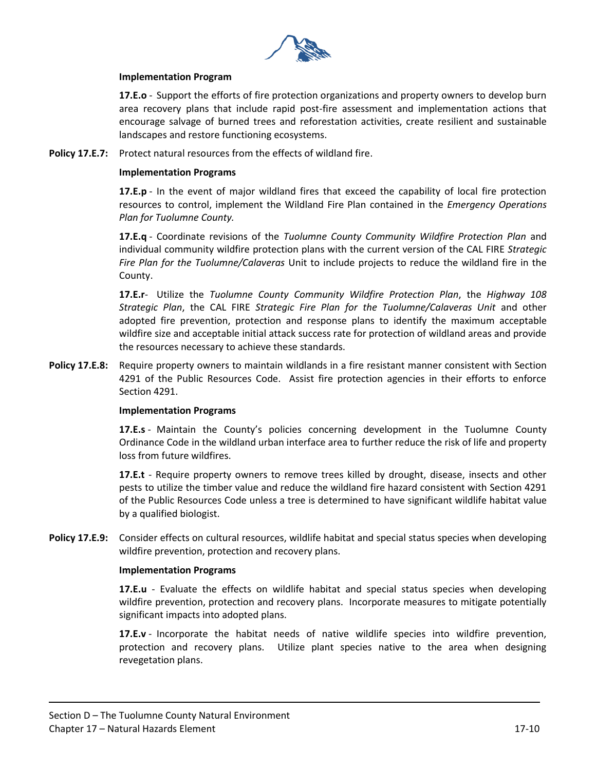

#### **Implementation Program**

**17.E.o** - Support the efforts of fire protection organizations and property owners to develop burn area recovery plans that include rapid post-fire assessment and implementation actions that encourage salvage of burned trees and reforestation activities, create resilient and sustainable landscapes and restore functioning ecosystems.

**Policy 17.E.7:** Protect natural resources from the effects of wildland fire.

#### **Implementation Programs**

**17.E.p** - In the event of major wildland fires that exceed the capability of local fire protection resources to control, implement the Wildland Fire Plan contained in the *Emergency Operations Plan for Tuolumne County.* 

**17.E.q** - Coordinate revisions of the *Tuolumne County Community Wildfire Protection Plan* and individual community wildfire protection plans with the current version of the CAL FIRE *Strategic Fire Plan for the Tuolumne/Calaveras* Unit to include projects to reduce the wildland fire in the County.

**17.E.r**- Utilize the *Tuolumne County Community Wildfire Protection Plan*, the *Highway 108 Strategic Plan*, the CAL FIRE *Strategic Fire Plan for the Tuolumne/Calaveras Unit* and other adopted fire prevention, protection and response plans to identify the maximum acceptable wildfire size and acceptable initial attack success rate for protection of wildland areas and provide the resources necessary to achieve these standards.

**Policy 17.E.8:** Require property owners to maintain wildlands in a fire resistant manner consistent with Section 4291 of the Public Resources Code. Assist fire protection agencies in their efforts to enforce Section 4291.

#### **Implementation Programs**

**17.E.s** - Maintain the County's policies concerning development in the Tuolumne County Ordinance Code in the wildland urban interface area to further reduce the risk of life and property loss from future wildfires.

**17.E.t** - Require property owners to remove trees killed by drought, disease, insects and other pests to utilize the timber value and reduce the wildland fire hazard consistent with Section 4291 of the Public Resources Code unless a tree is determined to have significant wildlife habitat value by a qualified biologist.

**Policy 17.E.9:** Consider effects on cultural resources, wildlife habitat and special status species when developing wildfire prevention, protection and recovery plans.

#### **Implementation Programs**

**17.E.u** - Evaluate the effects on wildlife habitat and special status species when developing wildfire prevention, protection and recovery plans. Incorporate measures to mitigate potentially significant impacts into adopted plans.

**17.E.v** - Incorporate the habitat needs of native wildlife species into wildfire prevention, protection and recovery plans. Utilize plant species native to the area when designing revegetation plans.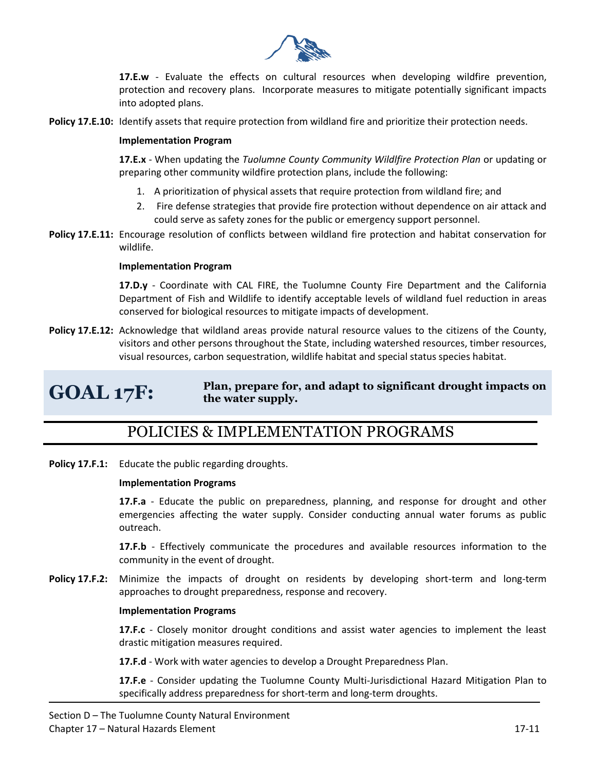

**17.E.w** - Evaluate the effects on cultural resources when developing wildfire prevention, protection and recovery plans. Incorporate measures to mitigate potentially significant impacts into adopted plans.

**Policy 17.E.10:** Identify assets that require protection from wildland fire and prioritize their protection needs.

#### **Implementation Program**

**17.E.x** - When updating the *Tuolumne County Community Wildlfire Protection Plan* or updating or preparing other community wildfire protection plans, include the following:

- 1. A prioritization of physical assets that require protection from wildland fire; and
- 2. Fire defense strategies that provide fire protection without dependence on air attack and could serve as safety zones for the public or emergency support personnel.
- **Policy 17.E.11:** Encourage resolution of conflicts between wildland fire protection and habitat conservation for wildlife.

#### **Implementation Program**

**17.D.y** - Coordinate with CAL FIRE, the Tuolumne County Fire Department and the California Department of Fish and Wildlife to identify acceptable levels of wildland fuel reduction in areas conserved for biological resources to mitigate impacts of development.

**Policy 17.E.12:** Acknowledge that wildland areas provide natural resource values to the citizens of the County, visitors and other persons throughout the State, including watershed resources, timber resources, visual resources, carbon sequestration, wildlife habitat and special status species habitat.

## **GOAL 17F:**

#### **Plan, prepare for, and adapt to significant drought impacts on the water supply.**

## POLICIES & IMPLEMENTATION PROGRAMS

**Policy 17.F.1:** Educate the public regarding droughts.

#### **Implementation Programs**

**17.F.a** - Educate the public on preparedness, planning, and response for drought and other emergencies affecting the water supply. Consider conducting annual water forums as public outreach.

**17.F.b** - Effectively communicate the procedures and available resources information to the community in the event of drought.

**Policy 17.F.2:** Minimize the impacts of drought on residents by developing short-term and long-term approaches to drought preparedness, response and recovery.

#### **Implementation Programs**

**17.F.c** - Closely monitor drought conditions and assist water agencies to implement the least drastic mitigation measures required.

**17.F.d** - Work with water agencies to develop a Drought Preparedness Plan.

**17.F.e** - Consider updating the Tuolumne County Multi-Jurisdictional Hazard Mitigation Plan to specifically address preparedness for short-term and long-term droughts.